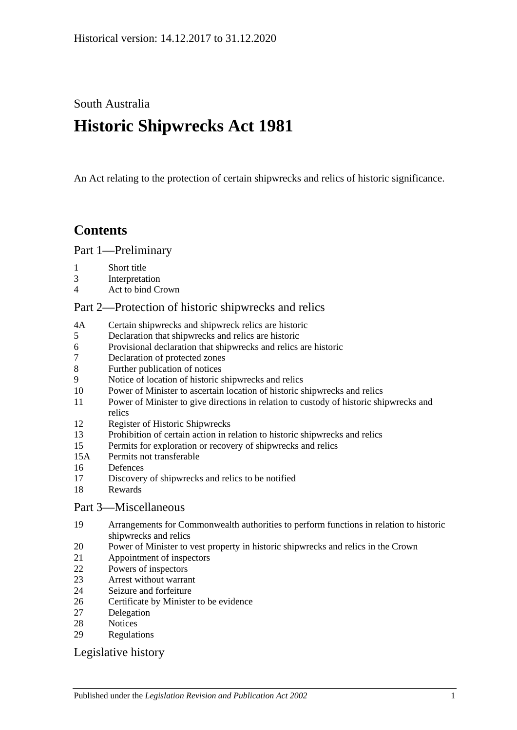South Australia

# **Historic Shipwrecks Act 1981**

An Act relating to the protection of certain shipwrecks and relics of historic significance.

# **Contents**

[Part 1—Preliminary](#page-1-0)

- [Short title](#page-1-1)
- [Interpretation](#page-1-2)
- [Act to bind Crown](#page-2-0)

### [Part 2—Protection of historic shipwrecks and relics](#page-2-1)

- 4A [Certain shipwrecks and shipwreck relics are historic](#page-2-2)
- [Declaration that shipwrecks and relics are historic](#page-3-0)
- [Provisional declaration that shipwrecks and relics are historic](#page-3-1)
- [Declaration of protected zones](#page-4-0)
- [Further publication of notices](#page-4-1)
- [Notice of location of historic shipwrecks and relics](#page-4-2)
- [Power of Minister to ascertain location of historic shipwrecks and relics](#page-5-0)
- [Power of Minister to give directions in relation to custody of historic shipwrecks and](#page-5-1)  [relics](#page-5-1)
- [Register of Historic Shipwrecks](#page-6-0)
- [Prohibition of certain action in relation to historic shipwrecks and relics](#page-6-1)
- [Permits for exploration or recovery of shipwrecks and relics](#page-7-0)
- 15A [Permits not transferable](#page-8-0)
- [Defences](#page-8-1)
- [Discovery of shipwrecks and relics to be notified](#page-9-0)
- [Rewards](#page-9-1)

# [Part 3—Miscellaneous](#page-10-0)

- [Arrangements for Commonwealth authorities to perform functions in relation to historic](#page-10-1)  [shipwrecks and relics](#page-10-1)
- [Power of Minister to vest property in historic shipwrecks and relics in](#page-10-2) the Crown
- [Appointment of inspectors](#page-10-3)
- [Powers of inspectors](#page-10-4)
- [Arrest without warrant](#page-12-0)
- [Seizure and forfeiture](#page-12-1)
- [Certificate by Minister to be evidence](#page-13-0)
- [Delegation](#page-13-1)
- [Notices](#page-14-0)
- [Regulations](#page-14-1)

# [Legislative history](#page-16-0)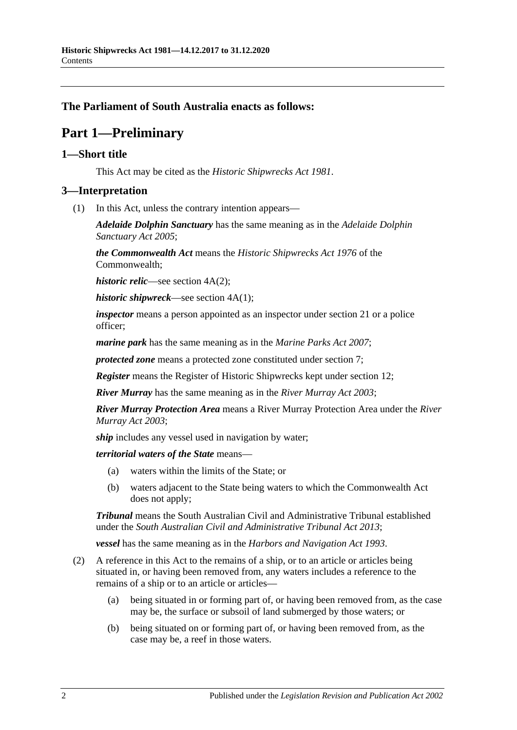#### <span id="page-1-0"></span>**The Parliament of South Australia enacts as follows:**

# **Part 1—Preliminary**

#### <span id="page-1-1"></span>**1—Short title**

This Act may be cited as the *Historic Shipwrecks Act 1981*.

#### <span id="page-1-2"></span>**3—Interpretation**

(1) In this Act, unless the contrary intention appears—

*Adelaide Dolphin Sanctuary* has the same meaning as in the *[Adelaide Dolphin](http://www.legislation.sa.gov.au/index.aspx?action=legref&type=act&legtitle=Adelaide%20Dolphin%20Sanctuary%20Act%202005)  [Sanctuary Act](http://www.legislation.sa.gov.au/index.aspx?action=legref&type=act&legtitle=Adelaide%20Dolphin%20Sanctuary%20Act%202005) 2005*;

*the Commonwealth Act* means the *Historic Shipwrecks Act 1976* of the Commonwealth;

*historic relic*—see section 4A(2);

*historic shipwreck*—see section 4A(1);

*inspector* means a person appointed as an inspector under [section](#page-10-3) 21 or a police officer;

*marine park* has the same meaning as in the *[Marine Parks Act](http://www.legislation.sa.gov.au/index.aspx?action=legref&type=act&legtitle=Marine%20Parks%20Act%202007) 2007*;

*protected zone* means a protected zone constituted under [section](#page-4-0) 7;

*Register* means the Register of Historic Shipwrecks kept under [section](#page-6-0) 12;

*River Murray* has the same meaning as in the *[River Murray Act](http://www.legislation.sa.gov.au/index.aspx?action=legref&type=act&legtitle=River%20Murray%20Act%202003) 2003*;

*River Murray Protection Area* means a River Murray Protection Area under the *[River](http://www.legislation.sa.gov.au/index.aspx?action=legref&type=act&legtitle=River%20Murray%20Act%202003)  [Murray Act](http://www.legislation.sa.gov.au/index.aspx?action=legref&type=act&legtitle=River%20Murray%20Act%202003) 2003*;

*ship* includes any vessel used in navigation by water;

*territorial waters of the State* means—

- (a) waters within the limits of the State; or
- (b) waters adjacent to the State being waters to which the Commonwealth Act does not apply;

*Tribunal* means the South Australian Civil and Administrative Tribunal established under the *[South Australian Civil and Administrative Tribunal Act](http://www.legislation.sa.gov.au/index.aspx?action=legref&type=act&legtitle=South%20Australian%20Civil%20and%20Administrative%20Tribunal%20Act%202013) 2013*;

*vessel* has the same meaning as in the *[Harbors and Navigation Act](http://www.legislation.sa.gov.au/index.aspx?action=legref&type=act&legtitle=Harbors%20and%20Navigation%20Act%201993) 1993*.

- (2) A reference in this Act to the remains of a ship, or to an article or articles being situated in, or having been removed from, any waters includes a reference to the remains of a ship or to an article or articles—
	- (a) being situated in or forming part of, or having been removed from, as the case may be, the surface or subsoil of land submerged by those waters; or
	- (b) being situated on or forming part of, or having been removed from, as the case may be, a reef in those waters.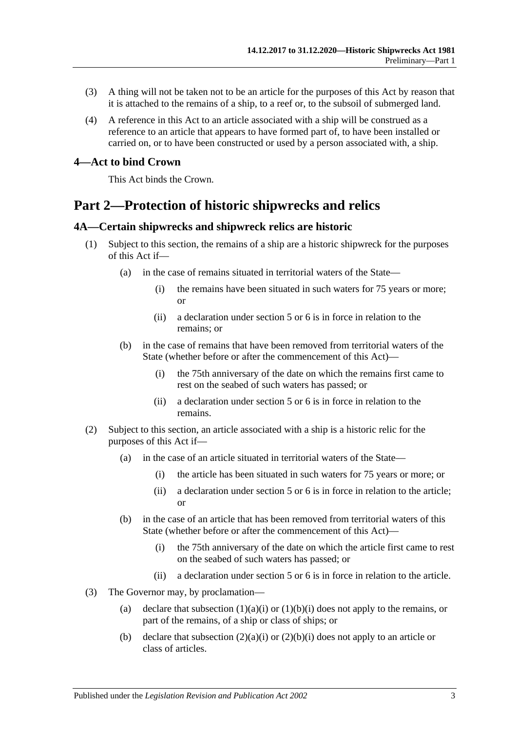- (3) A thing will not be taken not to be an article for the purposes of this Act by reason that it is attached to the remains of a ship, to a reef or, to the subsoil of submerged land.
- (4) A reference in this Act to an article associated with a ship will be construed as a reference to an article that appears to have formed part of, to have been installed or carried on, or to have been constructed or used by a person associated with, a ship.

#### <span id="page-2-0"></span>**4—Act to bind Crown**

This Act binds the Crown.

# <span id="page-2-1"></span>**Part 2—Protection of historic shipwrecks and relics**

#### <span id="page-2-2"></span>**4A—Certain shipwrecks and shipwreck relics are historic**

- <span id="page-2-3"></span>(1) Subject to this section, the remains of a ship are a historic shipwreck for the purposes of this Act if—
	- (a) in the case of remains situated in territorial waters of the State—
		- (i) the remains have been situated in such waters for 75 years or more; or
		- (ii) a declaration under section 5 or 6 is in force in relation to the remains; or
	- (b) in the case of remains that have been removed from territorial waters of the State (whether before or after the commencement of this Act)—
		- (i) the 75th anniversary of the date on which the remains first came to rest on the seabed of such waters has passed; or
		- (ii) a declaration under section 5 or 6 is in force in relation to the remains.
- <span id="page-2-5"></span><span id="page-2-4"></span>(2) Subject to this section, an article associated with a ship is a historic relic for the purposes of this Act if—
	- (a) in the case of an article situated in territorial waters of the State—
		- (i) the article has been situated in such waters for 75 years or more; or
		- (ii) a declaration under section 5 or 6 is in force in relation to the article; or
	- (b) in the case of an article that has been removed from territorial waters of this State (whether before or after the commencement of this Act)—
		- (i) the 75th anniversary of the date on which the article first came to rest on the seabed of such waters has passed; or
		- (ii) a declaration under section 5 or 6 is in force in relation to the article.
- <span id="page-2-6"></span>(3) The Governor may, by proclamation
	- (a) declare that [subsection](#page-2-3)  $(1)(a)(i)$  or  $(1)(b)(i)$  does not apply to the remains, or part of the remains, of a ship or class of ships; or
	- (b) declare that [subsection](#page-2-5)  $(2)(a)(i)$  or  $(2)(b)(i)$  does not apply to an article or class of articles.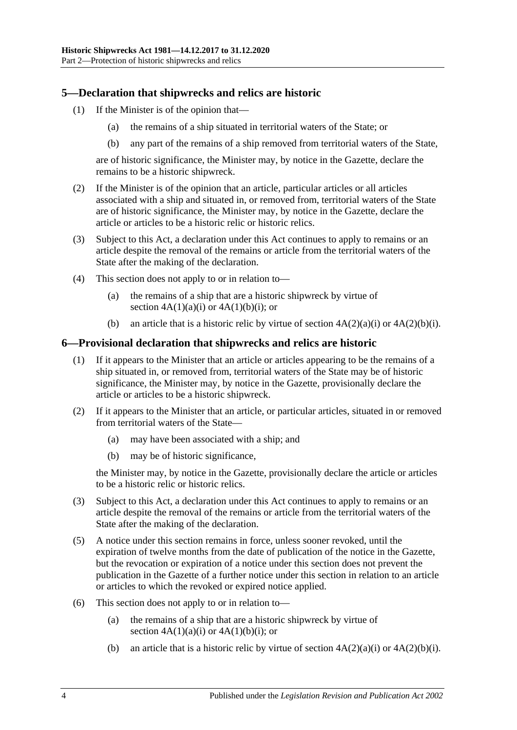### <span id="page-3-0"></span>**5—Declaration that shipwrecks and relics are historic**

- (1) If the Minister is of the opinion that—
	- (a) the remains of a ship situated in territorial waters of the State; or
	- (b) any part of the remains of a ship removed from territorial waters of the State,

are of historic significance, the Minister may, by notice in the Gazette, declare the remains to be a historic shipwreck.

- (2) If the Minister is of the opinion that an article, particular articles or all articles associated with a ship and situated in, or removed from, territorial waters of the State are of historic significance, the Minister may, by notice in the Gazette, declare the article or articles to be a historic relic or historic relics.
- (3) Subject to this Act, a declaration under this Act continues to apply to remains or an article despite the removal of the remains or article from the territorial waters of the State after the making of the declaration.
- (4) This section does not apply to or in relation to—
	- (a) the remains of a ship that are a historic shipwreck by virtue of section  $4A(1)(a)(i)$  or  $4A(1)(b)(i)$ ; or
	- (b) an article that is a historic relic by virtue of section  $4A(2)(a)(i)$  or  $4A(2)(b)(i)$ .

#### <span id="page-3-1"></span>**6—Provisional declaration that shipwrecks and relics are historic**

- (1) If it appears to the Minister that an article or articles appearing to be the remains of a ship situated in, or removed from, territorial waters of the State may be of historic significance, the Minister may, by notice in the Gazette, provisionally declare the article or articles to be a historic shipwreck.
- (2) If it appears to the Minister that an article, or particular articles, situated in or removed from territorial waters of the State—
	- (a) may have been associated with a ship; and
	- (b) may be of historic significance,

the Minister may, by notice in the Gazette, provisionally declare the article or articles to be a historic relic or historic relics.

- (3) Subject to this Act, a declaration under this Act continues to apply to remains or an article despite the removal of the remains or article from the territorial waters of the State after the making of the declaration.
- (5) A notice under this section remains in force, unless sooner revoked, until the expiration of twelve months from the date of publication of the notice in the Gazette, but the revocation or expiration of a notice under this section does not prevent the publication in the Gazette of a further notice under this section in relation to an article or articles to which the revoked or expired notice applied.
- (6) This section does not apply to or in relation to—
	- (a) the remains of a ship that are a historic shipwreck by virtue of section  $4A(1)(a)(i)$  or  $4A(1)(b)(i)$ ; or
	- (b) an article that is a historic relic by virtue of section  $4A(2)(a)(i)$  or  $4A(2)(b)(i)$ .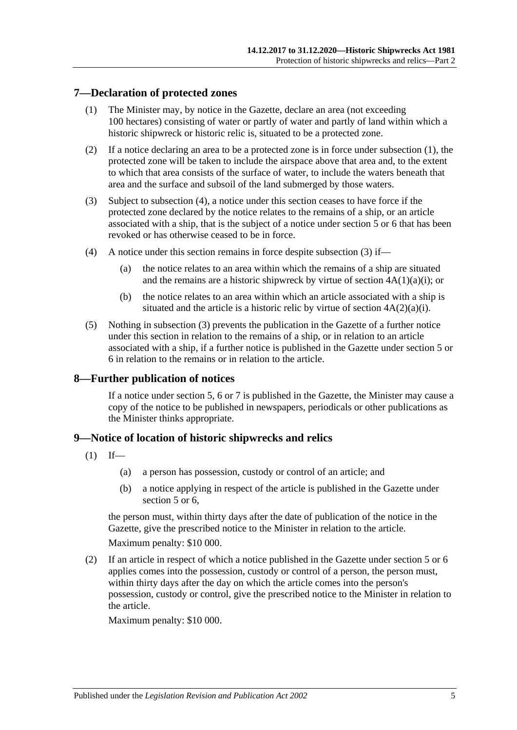### <span id="page-4-3"></span><span id="page-4-0"></span>**7—Declaration of protected zones**

- (1) The Minister may, by notice in the Gazette, declare an area (not exceeding 100 hectares) consisting of water or partly of water and partly of land within which a historic shipwreck or historic relic is, situated to be a protected zone.
- (2) If a notice declaring an area to be a protected zone is in force under [subsection](#page-4-3) (1), the protected zone will be taken to include the airspace above that area and, to the extent to which that area consists of the surface of water, to include the waters beneath that area and the surface and subsoil of the land submerged by those waters.
- <span id="page-4-5"></span>(3) Subject to [subsection](#page-4-4) (4), a notice under this section ceases to have force if the protected zone declared by the notice relates to the remains of a ship, or an article associated with a ship, that is the subject of a notice under [section](#page-3-0) 5 or [6](#page-3-1) that has been revoked or has otherwise ceased to be in force.
- <span id="page-4-4"></span>(4) A notice under this section remains in force despite [subsection](#page-4-5) (3) if—
	- (a) the notice relates to an area within which the remains of a ship are situated and the remains are a historic shipwreck by virtue of section  $4A(1)(a)(i)$ ; or
	- (b) the notice relates to an area within which an article associated with a ship is situated and the article is a historic relic by virtue of section  $4A(2)(a)(i)$ .
- (5) Nothing in [subsection](#page-4-5) (3) prevents the publication in the Gazette of a further notice under this section in relation to the remains of a ship, or in relation to an article associated with a ship, if a further notice is published in the Gazette under [section](#page-3-0) 5 or [6](#page-3-1) in relation to the remains or in relation to the article.

#### <span id="page-4-1"></span>**8—Further publication of notices**

If a notice under [section](#page-3-0) 5, [6](#page-3-1) or [7](#page-4-0) is published in the Gazette, the Minister may cause a copy of the notice to be published in newspapers, periodicals or other publications as the Minister thinks appropriate.

# <span id="page-4-6"></span><span id="page-4-2"></span>**9—Notice of location of historic shipwrecks and relics**

- $(1)$  If—
	- (a) a person has possession, custody or control of an article; and
	- (b) a notice applying in respect of the article is published in the Gazette under [section](#page-3-0) 5 or 6.

the person must, within thirty days after the date of publication of the notice in the Gazette, give the prescribed notice to the Minister in relation to the article.

Maximum penalty: \$10 000.

<span id="page-4-7"></span>(2) If an article in respect of which a notice published in the Gazette under [section](#page-3-0) 5 or [6](#page-3-1) applies comes into the possession, custody or control of a person, the person must, within thirty days after the day on which the article comes into the person's possession, custody or control, give the prescribed notice to the Minister in relation to the article.

Maximum penalty: \$10 000.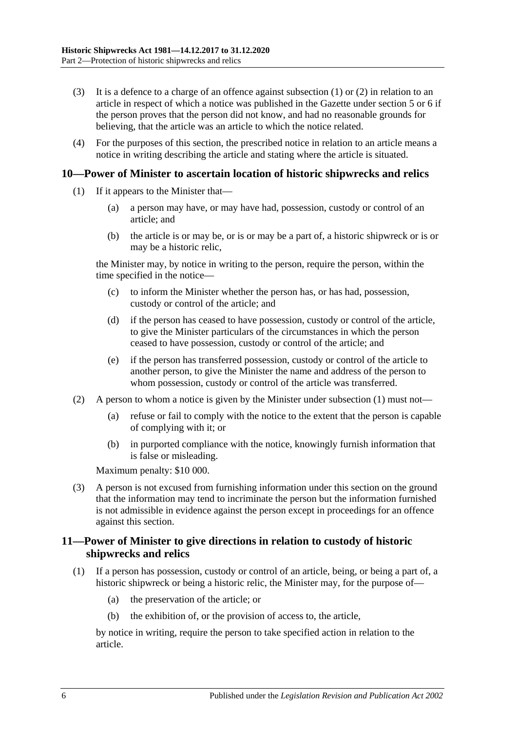- (3) It is a defence to a charge of an offence against [subsection](#page-4-6)  $(1)$  or  $(2)$  in relation to an article in respect of which a notice was published in the Gazette under [section](#page-3-0) 5 or [6](#page-3-1) if the person proves that the person did not know, and had no reasonable grounds for believing, that the article was an article to which the notice related.
- (4) For the purposes of this section, the prescribed notice in relation to an article means a notice in writing describing the article and stating where the article is situated.

#### <span id="page-5-2"></span><span id="page-5-0"></span>**10—Power of Minister to ascertain location of historic shipwrecks and relics**

- (1) If it appears to the Minister that—
	- (a) a person may have, or may have had, possession, custody or control of an article; and
	- (b) the article is or may be, or is or may be a part of, a historic shipwreck or is or may be a historic relic,

the Minister may, by notice in writing to the person, require the person, within the time specified in the notice—

- (c) to inform the Minister whether the person has, or has had, possession, custody or control of the article; and
- (d) if the person has ceased to have possession, custody or control of the article, to give the Minister particulars of the circumstances in which the person ceased to have possession, custody or control of the article; and
- (e) if the person has transferred possession, custody or control of the article to another person, to give the Minister the name and address of the person to whom possession, custody or control of the article was transferred.
- (2) A person to whom a notice is given by the Minister under [subsection](#page-5-2) (1) must not—
	- (a) refuse or fail to comply with the notice to the extent that the person is capable of complying with it; or
	- (b) in purported compliance with the notice, knowingly furnish information that is false or misleading.

Maximum penalty: \$10 000.

(3) A person is not excused from furnishing information under this section on the ground that the information may tend to incriminate the person but the information furnished is not admissible in evidence against the person except in proceedings for an offence against this section.

#### <span id="page-5-1"></span>**11—Power of Minister to give directions in relation to custody of historic shipwrecks and relics**

- <span id="page-5-3"></span>(1) If a person has possession, custody or control of an article, being, or being a part of, a historic shipwreck or being a historic relic, the Minister may, for the purpose of—
	- (a) the preservation of the article; or
	- (b) the exhibition of, or the provision of access to, the article,

by notice in writing, require the person to take specified action in relation to the article.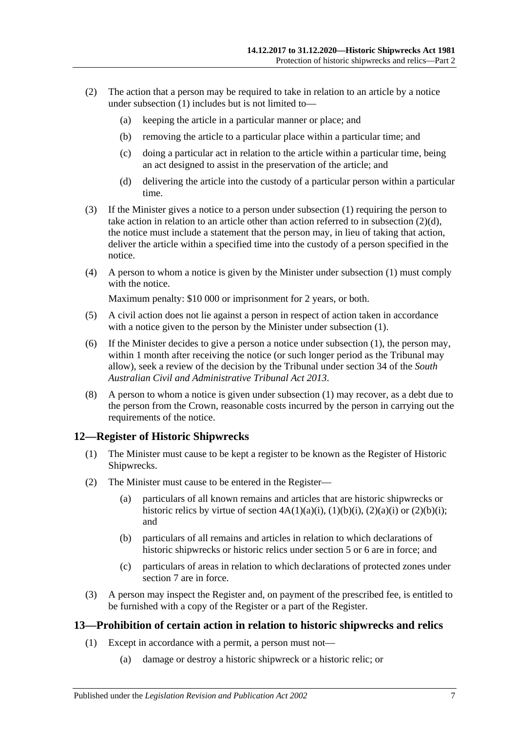- (2) The action that a person may be required to take in relation to an article by a notice under [subsection](#page-5-3)  $(1)$  includes but is not limited to-
	- (a) keeping the article in a particular manner or place; and
	- (b) removing the article to a particular place within a particular time; and
	- (c) doing a particular act in relation to the article within a particular time, being an act designed to assist in the preservation of the article; and
	- (d) delivering the article into the custody of a particular person within a particular time.
- <span id="page-6-2"></span>(3) If the Minister gives a notice to a person under [subsection](#page-5-3) (1) requiring the person to take action in relation to an article other than action referred to in [subsection](#page-6-2)  $(2)(d)$ , the notice must include a statement that the person may, in lieu of taking that action, deliver the article within a specified time into the custody of a person specified in the notice.
- (4) A person to whom a notice is given by the Minister under [subsection](#page-5-3) (1) must comply with the notice.

Maximum penalty: \$10 000 or imprisonment for 2 years, or both.

- (5) A civil action does not lie against a person in respect of action taken in accordance with a notice given to the person by the Minister under [subsection](#page-5-3) (1).
- (6) If the Minister decides to give a person a notice under [subsection](#page-5-3) (1), the person may, within 1 month after receiving the notice (or such longer period as the Tribunal may allow), seek a review of the decision by the Tribunal under section 34 of the *[South](http://www.legislation.sa.gov.au/index.aspx?action=legref&type=act&legtitle=South%20Australian%20Civil%20and%20Administrative%20Tribunal%20Act%202013)  [Australian Civil and Administrative Tribunal Act](http://www.legislation.sa.gov.au/index.aspx?action=legref&type=act&legtitle=South%20Australian%20Civil%20and%20Administrative%20Tribunal%20Act%202013) 2013*.
- (8) A person to whom a notice is given under [subsection](#page-5-3) (1) may recover, as a debt due to the person from the Crown, reasonable costs incurred by the person in carrying out the requirements of the notice.

#### <span id="page-6-0"></span>**12—Register of Historic Shipwrecks**

- (1) The Minister must cause to be kept a register to be known as the Register of Historic Shipwrecks.
- (2) The Minister must cause to be entered in the Register—
	- (a) particulars of all known remains and articles that are historic shipwrecks or historic relics by virtue of section  $4A(1)(a)(i)$ ,  $(1)(b)(i)$ ,  $(2)(a)(i)$  or  $(2)(b)(i)$ ; and
	- (b) particulars of all remains and articles in relation to which declarations of historic shipwrecks or historic relics under [section](#page-3-0) 5 or [6](#page-3-1) are in force; and
	- (c) particulars of areas in relation to which declarations of protected zones under [section](#page-4-0) 7 are in force.
- (3) A person may inspect the Register and, on payment of the prescribed fee, is entitled to be furnished with a copy of the Register or a part of the Register.

#### <span id="page-6-3"></span><span id="page-6-1"></span>**13—Prohibition of certain action in relation to historic shipwrecks and relics**

- (1) Except in accordance with a permit, a person must not—
	- (a) damage or destroy a historic shipwreck or a historic relic; or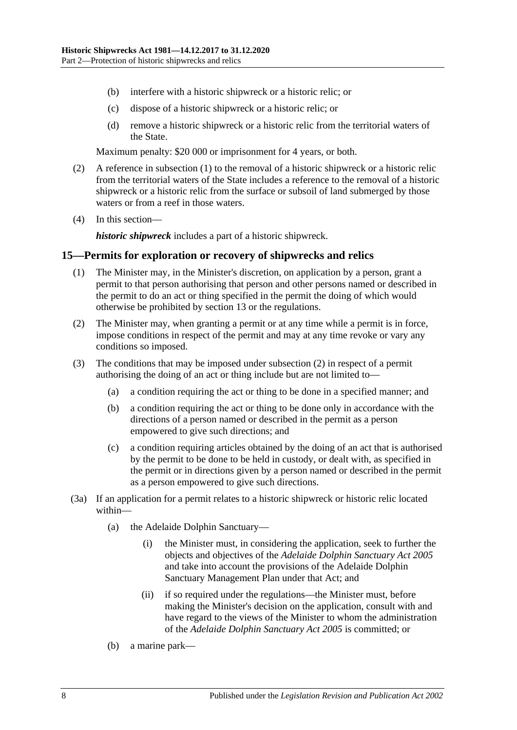- (b) interfere with a historic shipwreck or a historic relic; or
- (c) dispose of a historic shipwreck or a historic relic; or
- (d) remove a historic shipwreck or a historic relic from the territorial waters of the State.

Maximum penalty: \$20 000 or imprisonment for 4 years, or both.

- (2) A reference in [subsection](#page-6-3) (1) to the removal of a historic shipwreck or a historic relic from the territorial waters of the State includes a reference to the removal of a historic shipwreck or a historic relic from the surface or subsoil of land submerged by those waters or from a reef in those waters.
- (4) In this section—

*historic shipwreck* includes a part of a historic shipwreck.

#### <span id="page-7-0"></span>**15—Permits for exploration or recovery of shipwrecks and relics**

- (1) The Minister may, in the Minister's discretion, on application by a person, grant a permit to that person authorising that person and other persons named or described in the permit to do an act or thing specified in the permit the doing of which would otherwise be prohibited by [section](#page-6-1) 13 or the regulations.
- <span id="page-7-1"></span>(2) The Minister may, when granting a permit or at any time while a permit is in force, impose conditions in respect of the permit and may at any time revoke or vary any conditions so imposed.
- (3) The conditions that may be imposed under [subsection](#page-7-1) (2) in respect of a permit authorising the doing of an act or thing include but are not limited to—
	- (a) a condition requiring the act or thing to be done in a specified manner; and
	- (b) a condition requiring the act or thing to be done only in accordance with the directions of a person named or described in the permit as a person empowered to give such directions; and
	- (c) a condition requiring articles obtained by the doing of an act that is authorised by the permit to be done to be held in custody, or dealt with, as specified in the permit or in directions given by a person named or described in the permit as a person empowered to give such directions.
- (3a) If an application for a permit relates to a historic shipwreck or historic relic located within—
	- (a) the Adelaide Dolphin Sanctuary—
		- (i) the Minister must, in considering the application, seek to further the objects and objectives of the *[Adelaide Dolphin Sanctuary Act](http://www.legislation.sa.gov.au/index.aspx?action=legref&type=act&legtitle=Adelaide%20Dolphin%20Sanctuary%20Act%202005) 2005* and take into account the provisions of the Adelaide Dolphin Sanctuary Management Plan under that Act; and
		- (ii) if so required under the regulations—the Minister must, before making the Minister's decision on the application, consult with and have regard to the views of the Minister to whom the administration of the *[Adelaide Dolphin Sanctuary Act](http://www.legislation.sa.gov.au/index.aspx?action=legref&type=act&legtitle=Adelaide%20Dolphin%20Sanctuary%20Act%202005) 2005* is committed; or
	- (b) a marine park—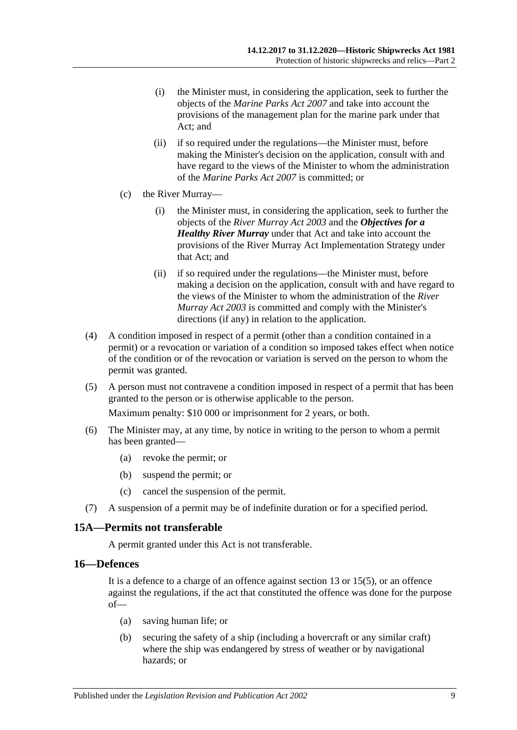- (i) the Minister must, in considering the application, seek to further the objects of the *[Marine Parks Act](http://www.legislation.sa.gov.au/index.aspx?action=legref&type=act&legtitle=Marine%20Parks%20Act%202007) 2007* and take into account the provisions of the management plan for the marine park under that Act; and
- (ii) if so required under the regulations—the Minister must, before making the Minister's decision on the application, consult with and have regard to the views of the Minister to whom the administration of the *[Marine Parks Act](http://www.legislation.sa.gov.au/index.aspx?action=legref&type=act&legtitle=Marine%20Parks%20Act%202007) 2007* is committed; or
- (c) the River Murray—
	- (i) the Minister must, in considering the application, seek to further the objects of the *[River Murray Act](http://www.legislation.sa.gov.au/index.aspx?action=legref&type=act&legtitle=River%20Murray%20Act%202003) 2003* and the *Objectives for a Healthy River Murray* under that Act and take into account the provisions of the River Murray Act Implementation Strategy under that Act; and
	- (ii) if so required under the regulations—the Minister must, before making a decision on the application, consult with and have regard to the views of the Minister to whom the administration of the *[River](http://www.legislation.sa.gov.au/index.aspx?action=legref&type=act&legtitle=River%20Murray%20Act%202003)  [Murray Act](http://www.legislation.sa.gov.au/index.aspx?action=legref&type=act&legtitle=River%20Murray%20Act%202003) 2003* is committed and comply with the Minister's directions (if any) in relation to the application.
- (4) A condition imposed in respect of a permit (other than a condition contained in a permit) or a revocation or variation of a condition so imposed takes effect when notice of the condition or of the revocation or variation is served on the person to whom the permit was granted.
- (5) A person must not contravene a condition imposed in respect of a permit that has been granted to the person or is otherwise applicable to the person.

Maximum penalty: \$10 000 or imprisonment for 2 years, or both.

- (6) The Minister may, at any time, by notice in writing to the person to whom a permit has been granted—
	- (a) revoke the permit; or
	- (b) suspend the permit; or
	- (c) cancel the suspension of the permit.
- (7) A suspension of a permit may be of indefinite duration or for a specified period.

#### <span id="page-8-0"></span>**15A—Permits not transferable**

A permit granted under this Act is not transferable.

#### <span id="page-8-1"></span>**16—Defences**

It is a defence to a charge of an offence against section 13 or 15(5), or an offence against the regulations, if the act that constituted the offence was done for the purpose of—

- (a) saving human life; or
- (b) securing the safety of a ship (including a hovercraft or any similar craft) where the ship was endangered by stress of weather or by navigational hazards; or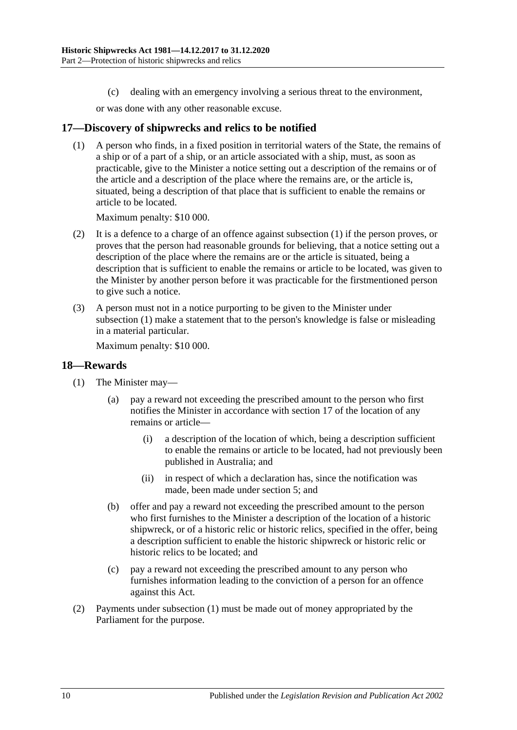(c) dealing with an emergency involving a serious threat to the environment,

or was done with any other reasonable excuse.

#### <span id="page-9-2"></span><span id="page-9-0"></span>**17—Discovery of shipwrecks and relics to be notified**

(1) A person who finds, in a fixed position in territorial waters of the State, the remains of a ship or of a part of a ship, or an article associated with a ship, must, as soon as practicable, give to the Minister a notice setting out a description of the remains or of the article and a description of the place where the remains are, or the article is, situated, being a description of that place that is sufficient to enable the remains or article to be located.

Maximum penalty: \$10 000.

- (2) It is a defence to a charge of an offence against [subsection](#page-9-2) (1) if the person proves, or proves that the person had reasonable grounds for believing, that a notice setting out a description of the place where the remains are or the article is situated, being a description that is sufficient to enable the remains or article to be located, was given to the Minister by another person before it was practicable for the firstmentioned person to give such a notice.
- (3) A person must not in a notice purporting to be given to the Minister under [subsection](#page-9-2) (1) make a statement that to the person's knowledge is false or misleading in a material particular.

Maximum penalty: \$10 000.

#### <span id="page-9-3"></span><span id="page-9-1"></span>**18—Rewards**

- (1) The Minister may—
	- (a) pay a reward not exceeding the prescribed amount to the person who first notifies the Minister in accordance with [section](#page-9-0) 17 of the location of any remains or article—
		- (i) a description of the location of which, being a description sufficient to enable the remains or article to be located, had not previously been published in Australia; and
		- (ii) in respect of which a declaration has, since the notification was made, been made under [section](#page-3-0) 5; and
	- (b) offer and pay a reward not exceeding the prescribed amount to the person who first furnishes to the Minister a description of the location of a historic shipwreck, or of a historic relic or historic relics, specified in the offer, being a description sufficient to enable the historic shipwreck or historic relic or historic relics to be located; and
	- (c) pay a reward not exceeding the prescribed amount to any person who furnishes information leading to the conviction of a person for an offence against this Act.
- (2) Payments under [subsection](#page-9-3) (1) must be made out of money appropriated by the Parliament for the purpose.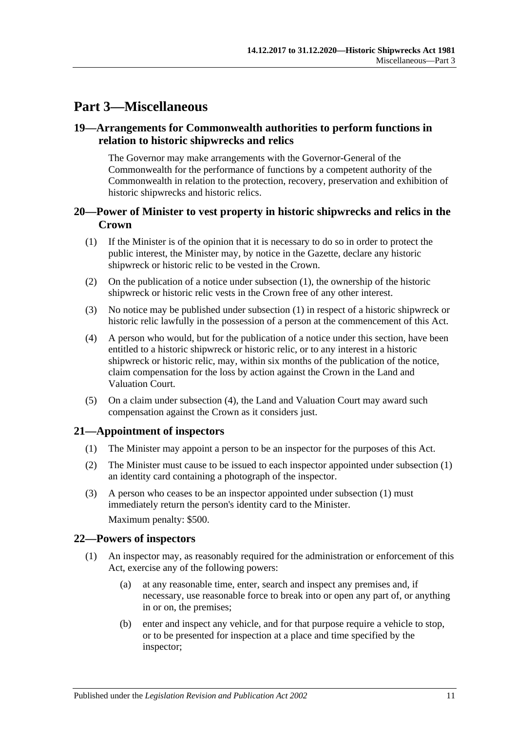# <span id="page-10-0"></span>**Part 3—Miscellaneous**

#### <span id="page-10-1"></span>**19—Arrangements for Commonwealth authorities to perform functions in relation to historic shipwrecks and relics**

The Governor may make arrangements with the Governor-General of the Commonwealth for the performance of functions by a competent authority of the Commonwealth in relation to the protection, recovery, preservation and exhibition of historic shipwrecks and historic relics.

#### <span id="page-10-2"></span>**20—Power of Minister to vest property in historic shipwrecks and relics in the Crown**

- <span id="page-10-5"></span>(1) If the Minister is of the opinion that it is necessary to do so in order to protect the public interest, the Minister may, by notice in the Gazette, declare any historic shipwreck or historic relic to be vested in the Crown.
- (2) On the publication of a notice under [subsection](#page-10-5) (1), the ownership of the historic shipwreck or historic relic vests in the Crown free of any other interest.
- (3) No notice may be published under [subsection](#page-10-5) (1) in respect of a historic shipwreck or historic relic lawfully in the possession of a person at the commencement of this Act.
- <span id="page-10-6"></span>(4) A person who would, but for the publication of a notice under this section, have been entitled to a historic shipwreck or historic relic, or to any interest in a historic shipwreck or historic relic, may, within six months of the publication of the notice, claim compensation for the loss by action against the Crown in the Land and Valuation Court.
- (5) On a claim under [subsection](#page-10-6) (4), the Land and Valuation Court may award such compensation against the Crown as it considers just.

#### <span id="page-10-7"></span><span id="page-10-3"></span>**21—Appointment of inspectors**

- (1) The Minister may appoint a person to be an inspector for the purposes of this Act.
- (2) The Minister must cause to be issued to each inspector appointed under [subsection](#page-10-7) (1) an identity card containing a photograph of the inspector.
- (3) A person who ceases to be an inspector appointed under [subsection](#page-10-7) (1) must immediately return the person's identity card to the Minister. Maximum penalty: \$500.

#### <span id="page-10-4"></span>**22—Powers of inspectors**

- <span id="page-10-8"></span>(1) An inspector may, as reasonably required for the administration or enforcement of this Act, exercise any of the following powers:
	- (a) at any reasonable time, enter, search and inspect any premises and, if necessary, use reasonable force to break into or open any part of, or anything in or on, the premises;
	- (b) enter and inspect any vehicle, and for that purpose require a vehicle to stop, or to be presented for inspection at a place and time specified by the inspector;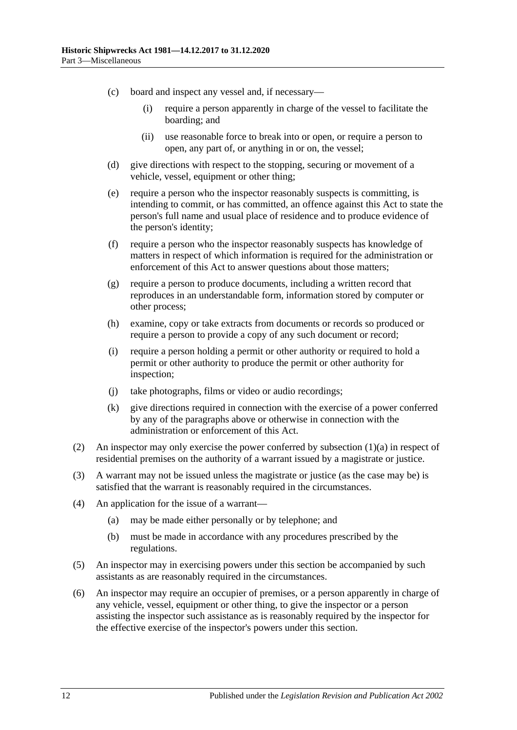- (c) board and inspect any vessel and, if necessary—
	- (i) require a person apparently in charge of the vessel to facilitate the boarding; and
	- (ii) use reasonable force to break into or open, or require a person to open, any part of, or anything in or on, the vessel;
- (d) give directions with respect to the stopping, securing or movement of a vehicle, vessel, equipment or other thing;
- (e) require a person who the inspector reasonably suspects is committing, is intending to commit, or has committed, an offence against this Act to state the person's full name and usual place of residence and to produce evidence of the person's identity;
- (f) require a person who the inspector reasonably suspects has knowledge of matters in respect of which information is required for the administration or enforcement of this Act to answer questions about those matters;
- (g) require a person to produce documents, including a written record that reproduces in an understandable form, information stored by computer or other process;
- (h) examine, copy or take extracts from documents or records so produced or require a person to provide a copy of any such document or record;
- (i) require a person holding a permit or other authority or required to hold a permit or other authority to produce the permit or other authority for inspection;
- (j) take photographs, films or video or audio recordings;
- (k) give directions required in connection with the exercise of a power conferred by any of the paragraphs above or otherwise in connection with the administration or enforcement of this Act.
- (2) An inspector may only exercise the power conferred by [subsection](#page-10-8)  $(1)(a)$  in respect of residential premises on the authority of a warrant issued by a magistrate or justice.
- (3) A warrant may not be issued unless the magistrate or justice (as the case may be) is satisfied that the warrant is reasonably required in the circumstances.
- (4) An application for the issue of a warrant—
	- (a) may be made either personally or by telephone; and
	- (b) must be made in accordance with any procedures prescribed by the regulations.
- (5) An inspector may in exercising powers under this section be accompanied by such assistants as are reasonably required in the circumstances.
- (6) An inspector may require an occupier of premises, or a person apparently in charge of any vehicle, vessel, equipment or other thing, to give the inspector or a person assisting the inspector such assistance as is reasonably required by the inspector for the effective exercise of the inspector's powers under this section.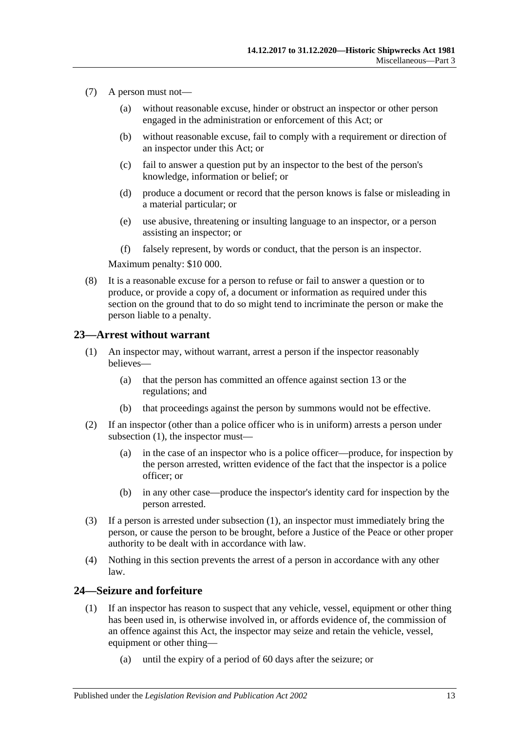- (7) A person must not—
	- (a) without reasonable excuse, hinder or obstruct an inspector or other person engaged in the administration or enforcement of this Act; or
	- (b) without reasonable excuse, fail to comply with a requirement or direction of an inspector under this Act; or
	- (c) fail to answer a question put by an inspector to the best of the person's knowledge, information or belief; or
	- (d) produce a document or record that the person knows is false or misleading in a material particular; or
	- (e) use abusive, threatening or insulting language to an inspector, or a person assisting an inspector; or
	- (f) falsely represent, by words or conduct, that the person is an inspector.

Maximum penalty: \$10 000.

(8) It is a reasonable excuse for a person to refuse or fail to answer a question or to produce, or provide a copy of, a document or information as required under this section on the ground that to do so might tend to incriminate the person or make the person liable to a penalty.

#### <span id="page-12-2"></span><span id="page-12-0"></span>**23—Arrest without warrant**

- (1) An inspector may, without warrant, arrest a person if the inspector reasonably believes—
	- (a) that the person has committed an offence against [section](#page-6-1) 13 or the regulations; and
	- (b) that proceedings against the person by summons would not be effective.
- (2) If an inspector (other than a police officer who is in uniform) arrests a person under [subsection](#page-12-2)  $(1)$ , the inspector must-
	- (a) in the case of an inspector who is a police officer—produce, for inspection by the person arrested, written evidence of the fact that the inspector is a police officer; or
	- (b) in any other case—produce the inspector's identity card for inspection by the person arrested.
- (3) If a person is arrested under [subsection](#page-12-2) (1), an inspector must immediately bring the person, or cause the person to be brought, before a Justice of the Peace or other proper authority to be dealt with in accordance with law.
- (4) Nothing in this section prevents the arrest of a person in accordance with any other law.

### <span id="page-12-1"></span>**24—Seizure and forfeiture**

- (1) If an inspector has reason to suspect that any vehicle, vessel, equipment or other thing has been used in, is otherwise involved in, or affords evidence of, the commission of an offence against this Act, the inspector may seize and retain the vehicle, vessel, equipment or other thing—
	- (a) until the expiry of a period of 60 days after the seizure; or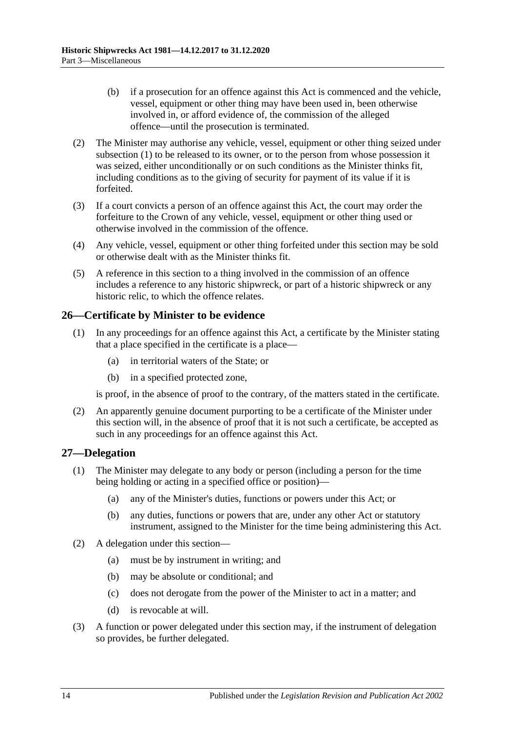- (b) if a prosecution for an offence against this Act is commenced and the vehicle, vessel, equipment or other thing may have been used in, been otherwise involved in, or afford evidence of, the commission of the alleged offence—until the prosecution is terminated.
- (2) The Minister may authorise any vehicle, vessel, equipment or other thing seized under subsection (1) to be released to its owner, or to the person from whose possession it was seized, either unconditionally or on such conditions as the Minister thinks fit, including conditions as to the giving of security for payment of its value if it is forfeited.
- (3) If a court convicts a person of an offence against this Act, the court may order the forfeiture to the Crown of any vehicle, vessel, equipment or other thing used or otherwise involved in the commission of the offence.
- (4) Any vehicle, vessel, equipment or other thing forfeited under this section may be sold or otherwise dealt with as the Minister thinks fit.
- (5) A reference in this section to a thing involved in the commission of an offence includes a reference to any historic shipwreck, or part of a historic shipwreck or any historic relic, to which the offence relates.

### <span id="page-13-0"></span>**26—Certificate by Minister to be evidence**

- (1) In any proceedings for an offence against this Act, a certificate by the Minister stating that a place specified in the certificate is a place—
	- (a) in territorial waters of the State; or
	- (b) in a specified protected zone,

is proof, in the absence of proof to the contrary, of the matters stated in the certificate.

(2) An apparently genuine document purporting to be a certificate of the Minister under this section will, in the absence of proof that it is not such a certificate, be accepted as such in any proceedings for an offence against this Act.

#### <span id="page-13-1"></span>**27—Delegation**

- (1) The Minister may delegate to any body or person (including a person for the time being holding or acting in a specified office or position)—
	- (a) any of the Minister's duties, functions or powers under this Act; or
	- (b) any duties, functions or powers that are, under any other Act or statutory instrument, assigned to the Minister for the time being administering this Act.
- (2) A delegation under this section—
	- (a) must be by instrument in writing; and
	- (b) may be absolute or conditional; and
	- (c) does not derogate from the power of the Minister to act in a matter; and
	- (d) is revocable at will.
- (3) A function or power delegated under this section may, if the instrument of delegation so provides, be further delegated.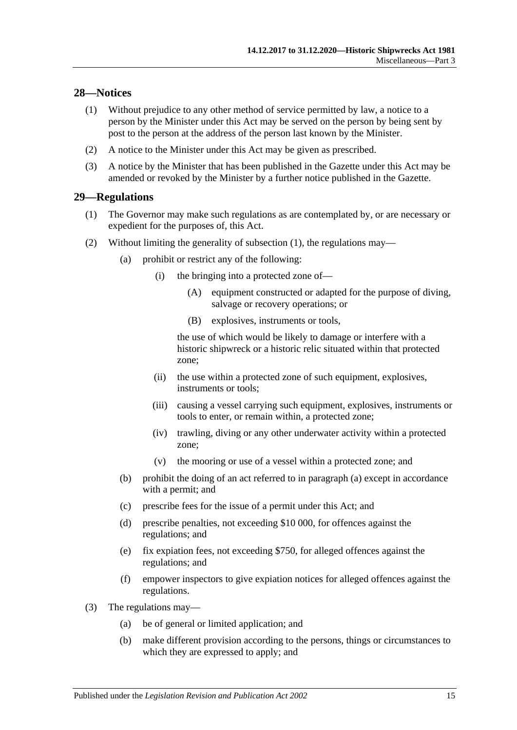# <span id="page-14-0"></span>**28—Notices**

- (1) Without prejudice to any other method of service permitted by law, a notice to a person by the Minister under this Act may be served on the person by being sent by post to the person at the address of the person last known by the Minister.
- (2) A notice to the Minister under this Act may be given as prescribed.
- (3) A notice by the Minister that has been published in the Gazette under this Act may be amended or revoked by the Minister by a further notice published in the Gazette.

#### <span id="page-14-2"></span><span id="page-14-1"></span>**29—Regulations**

- (1) The Governor may make such regulations as are contemplated by, or are necessary or expedient for the purposes of, this Act.
- <span id="page-14-3"></span>(2) Without limiting the generality of [subsection](#page-14-2) (1), the regulations may—
	- (a) prohibit or restrict any of the following:
		- (i) the bringing into a protected zone of—
			- (A) equipment constructed or adapted for the purpose of diving, salvage or recovery operations; or
			- (B) explosives, instruments or tools,

the use of which would be likely to damage or interfere with a historic shipwreck or a historic relic situated within that protected zone;

- (ii) the use within a protected zone of such equipment, explosives, instruments or tools;
- (iii) causing a vessel carrying such equipment, explosives, instruments or tools to enter, or remain within, a protected zone;
- (iv) trawling, diving or any other underwater activity within a protected zone;
- (v) the mooring or use of a vessel within a protected zone; and
- (b) prohibit the doing of an act referred to in [paragraph](#page-14-3) (a) except in accordance with a permit; and
- (c) prescribe fees for the issue of a permit under this Act; and
- (d) prescribe penalties, not exceeding \$10 000, for offences against the regulations; and
- (e) fix expiation fees, not exceeding \$750, for alleged offences against the regulations; and
- (f) empower inspectors to give expiation notices for alleged offences against the regulations.
- (3) The regulations may—
	- (a) be of general or limited application; and
	- (b) make different provision according to the persons, things or circumstances to which they are expressed to apply; and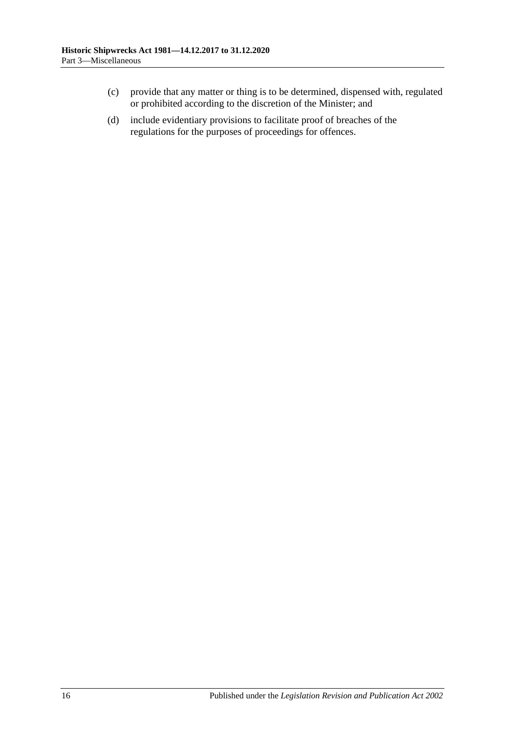- (c) provide that any matter or thing is to be determined, dispensed with, regulated or prohibited according to the discretion of the Minister; and
- (d) include evidentiary provisions to facilitate proof of breaches of the regulations for the purposes of proceedings for offences.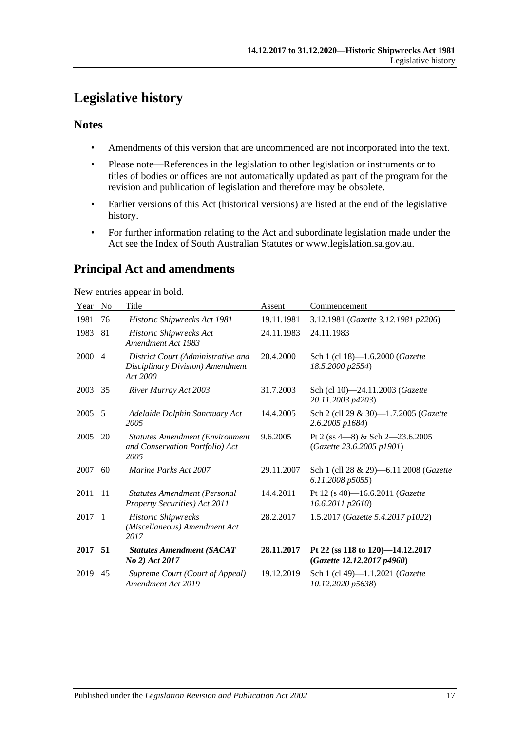# <span id="page-16-0"></span>**Legislative history**

### **Notes**

- Amendments of this version that are uncommenced are not incorporated into the text.
- Please note—References in the legislation to other legislation or instruments or to titles of bodies or offices are not automatically updated as part of the program for the revision and publication of legislation and therefore may be obsolete.
- Earlier versions of this Act (historical versions) are listed at the end of the legislative history.
- For further information relating to the Act and subordinate legislation made under the Act see the Index of South Australian Statutes or www.legislation.sa.gov.au.

# **Principal Act and amendments**

New entries appear in bold.

| 3.12.1981 (Gazette 3.12.1981 p2206)    |
|----------------------------------------|
|                                        |
|                                        |
|                                        |
|                                        |
| Sch 2 (cll 29 & 30)-1.7.2005 (Gazette  |
| Pt 2 (ss $4-8$ ) & Sch $2-23.6.2005$   |
| Sch 1 (cll 28 & 29)-6.11.2008 (Gazette |
|                                        |
| 1.5.2017 (Gazette 5.4.2017 p1022)      |
| Pt 22 (ss 118 to 120)-14.12.2017       |
|                                        |
|                                        |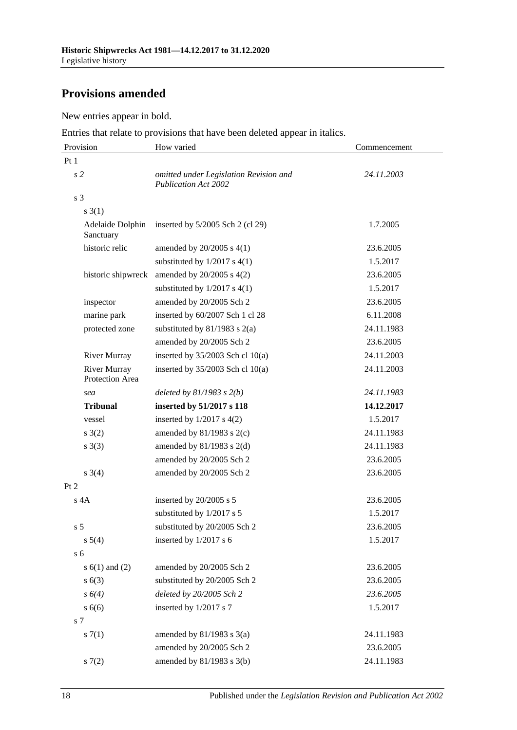# **Provisions amended**

New entries appear in bold.

Entries that relate to provisions that have been deleted appear in italics.

| Provision                              | How varied                                                            | Commencement |
|----------------------------------------|-----------------------------------------------------------------------|--------------|
| Pt1                                    |                                                                       |              |
| s <sub>2</sub>                         | omitted under Legislation Revision and<br><b>Publication Act 2002</b> | 24.11.2003   |
| s <sub>3</sub>                         |                                                                       |              |
| $s \; 3(1)$                            |                                                                       |              |
| Adelaide Dolphin<br>Sanctuary          | inserted by $5/2005$ Sch 2 (cl 29)                                    | 1.7.2005     |
| historic relic                         | amended by $20/2005$ s $4(1)$                                         | 23.6.2005    |
|                                        | substituted by $1/2017$ s $4(1)$                                      | 1.5.2017     |
| historic shipwreck                     | amended by 20/2005 s 4(2)                                             | 23.6.2005    |
|                                        | substituted by $1/2017$ s $4(1)$                                      | 1.5.2017     |
| inspector                              | amended by 20/2005 Sch 2                                              | 23.6.2005    |
| marine park                            | inserted by 60/2007 Sch 1 cl 28                                       | 6.11.2008    |
| protected zone                         | substituted by $81/1983$ s $2(a)$                                     | 24.11.1983   |
|                                        | amended by 20/2005 Sch 2                                              | 23.6.2005    |
| <b>River Murray</b>                    | inserted by $35/2003$ Sch cl 10(a)                                    | 24.11.2003   |
| <b>River Murray</b><br>Protection Area | inserted by $35/2003$ Sch cl 10(a)                                    | 24.11.2003   |
| sea                                    | deleted by $81/1983$ s $2(b)$                                         | 24.11.1983   |
| <b>Tribunal</b>                        | inserted by 51/2017 s 118                                             | 14.12.2017   |
| vessel                                 | inserted by $1/2017$ s $4(2)$                                         | 1.5.2017     |
| $s \; 3(2)$                            | amended by $81/1983$ s $2(c)$                                         | 24.11.1983   |
| $s \; 3(3)$                            | amended by $81/1983$ s $2(d)$                                         | 24.11.1983   |
|                                        | amended by 20/2005 Sch 2                                              | 23.6.2005    |
| $s \; 3(4)$                            | amended by 20/2005 Sch 2                                              | 23.6.2005    |
| Pt 2                                   |                                                                       |              |
| $s$ 4A                                 | inserted by 20/2005 s 5                                               | 23.6.2005    |
|                                        | substituted by 1/2017 s 5                                             | 1.5.2017     |
| s <sub>5</sub>                         | substituted by 20/2005 Sch 2                                          | 23.6.2005    |
| $s\ 5(4)$                              | inserted by $1/2017$ s 6                                              | 1.5.2017     |
| s <sub>6</sub>                         |                                                                       |              |
| s $6(1)$ and $(2)$                     | amended by 20/2005 Sch 2                                              | 23.6.2005    |
| s(6(3))                                | substituted by 20/2005 Sch 2                                          | 23.6.2005    |
| $s\ 6(4)$                              | deleted by 20/2005 Sch 2                                              | 23.6.2005    |
| s6(6)                                  | inserted by 1/2017 s 7                                                | 1.5.2017     |
| s 7                                    |                                                                       |              |
| s(7(1)                                 | amended by $81/1983$ s $3(a)$                                         | 24.11.1983   |
|                                        | amended by 20/2005 Sch 2                                              | 23.6.2005    |
| s(7(2)                                 | amended by 81/1983 s 3(b)                                             | 24.11.1983   |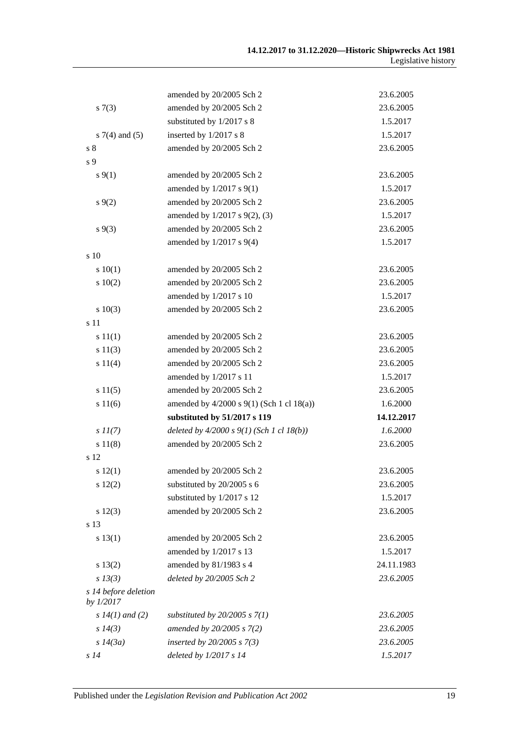|                                   | amended by 20/2005 Sch 2                    | 23.6.2005  |
|-----------------------------------|---------------------------------------------|------------|
| s(7(3))                           | amended by 20/2005 Sch 2                    | 23.6.2005  |
|                                   | substituted by 1/2017 s 8                   | 1.5.2017   |
| $s \, 7(4)$ and (5)               | inserted by 1/2017 s 8                      | 1.5.2017   |
| s <sub>8</sub>                    | amended by 20/2005 Sch 2                    | 23.6.2005  |
| s <sub>9</sub>                    |                                             |            |
| $s\,9(1)$                         | amended by 20/2005 Sch 2                    | 23.6.2005  |
|                                   | amended by $1/2017$ s $9(1)$                | 1.5.2017   |
| $s \, 9(2)$                       | amended by 20/2005 Sch 2                    | 23.6.2005  |
|                                   | amended by 1/2017 s 9(2), (3)               | 1.5.2017   |
| $s\,9(3)$                         | amended by 20/2005 Sch 2                    | 23.6.2005  |
|                                   | amended by 1/2017 s 9(4)                    | 1.5.2017   |
| $\frac{10}{2}$                    |                                             |            |
| s 10(1)                           | amended by 20/2005 Sch 2                    | 23.6.2005  |
| 10(2)                             | amended by 20/2005 Sch 2                    | 23.6.2005  |
|                                   | amended by 1/2017 s 10                      | 1.5.2017   |
| s 10(3)                           | amended by 20/2005 Sch 2                    | 23.6.2005  |
| s 11                              |                                             |            |
| s 11(1)                           | amended by 20/2005 Sch 2                    | 23.6.2005  |
| s 11(3)                           | amended by 20/2005 Sch 2                    | 23.6.2005  |
| s 11(4)                           | amended by 20/2005 Sch 2                    | 23.6.2005  |
|                                   | amended by 1/2017 s 11                      | 1.5.2017   |
| s 11(5)                           | amended by 20/2005 Sch 2                    | 23.6.2005  |
| s 11(6)                           | amended by 4/2000 s 9(1) (Sch 1 cl 18(a))   | 1.6.2000   |
|                                   | substituted by 51/2017 s 119                | 14.12.2017 |
| $s\,II(7)$                        | deleted by $4/2000 s 9(1)$ (Sch 1 cl 18(b)) | 1.6.2000   |
| s 11(8)                           | amended by 20/2005 Sch 2                    | 23.6.2005  |
| s 12                              |                                             |            |
| s 12(1)                           | amended by 20/2005 Sch 2                    | 23.6.2005  |
| s 12(2)                           | substituted by 20/2005 s 6                  | 23.6.2005  |
|                                   | substituted by 1/2017 s 12                  | 1.5.2017   |
| $s\ 12(3)$                        | amended by 20/2005 Sch 2                    | 23.6.2005  |
| s 13                              |                                             |            |
| s 13(1)                           | amended by 20/2005 Sch 2                    | 23.6.2005  |
|                                   | amended by 1/2017 s 13                      | 1.5.2017   |
| s 13(2)                           | amended by 81/1983 s 4                      | 24.11.1983 |
| $s$ 13(3)                         | deleted by 20/2005 Sch 2                    | 23.6.2005  |
| s 14 before deletion<br>by 1/2017 |                                             |            |
| s $14(1)$ and (2)                 | substituted by $20/2005$ s $7(1)$           | 23.6.2005  |
| s 14(3)                           | amended by 20/2005 s 7(2)                   | 23.6.2005  |
|                                   |                                             |            |
| $s\,14(3a)$                       | inserted by $20/2005$ s $7(3)$              | 23.6.2005  |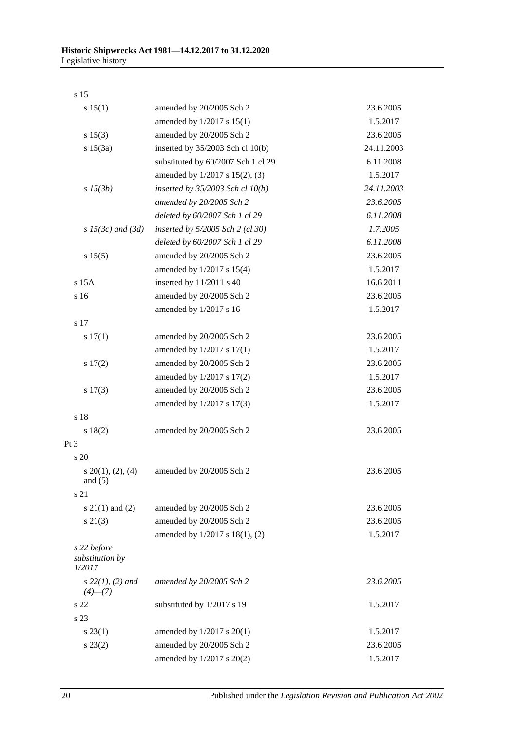s 15

| s 15(1)                                  | amended by 20/2005 Sch 2             | 23.6.2005  |
|------------------------------------------|--------------------------------------|------------|
|                                          | amended by 1/2017 s 15(1)            | 1.5.2017   |
| s 15(3)                                  | amended by 20/2005 Sch 2             | 23.6.2005  |
| s 15(3a)                                 | inserted by $35/2003$ Sch cl 10(b)   | 24.11.2003 |
|                                          | substituted by 60/2007 Sch 1 cl 29   | 6.11.2008  |
|                                          | amended by 1/2017 s 15(2), (3)       | 1.5.2017   |
| $s\,15(3b)$                              | inserted by $35/2003$ Sch cl $10(b)$ | 24.11.2003 |
|                                          | amended by 20/2005 Sch 2             | 23.6.2005  |
|                                          | deleted by 60/2007 Sch 1 cl 29       | 6.11.2008  |
| $s$ 15(3c) and (3d)                      | inserted by 5/2005 Sch 2 (cl 30)     | 1.7.2005   |
|                                          | deleted by 60/2007 Sch 1 cl 29       | 6.11.2008  |
| s 15(5)                                  | amended by 20/2005 Sch 2             | 23.6.2005  |
|                                          | amended by 1/2017 s 15(4)            | 1.5.2017   |
| s 15A                                    | inserted by 11/2011 s 40             | 16.6.2011  |
| s 16                                     | amended by 20/2005 Sch 2             | 23.6.2005  |
|                                          | amended by 1/2017 s 16               | 1.5.2017   |
| s 17                                     |                                      |            |
| s 17(1)                                  | amended by 20/2005 Sch 2             | 23.6.2005  |
|                                          | amended by $1/2017$ s $17(1)$        | 1.5.2017   |
| 17(2)                                    | amended by 20/2005 Sch 2             | 23.6.2005  |
|                                          | amended by 1/2017 s 17(2)            | 1.5.2017   |
| s 17(3)                                  | amended by 20/2005 Sch 2             | 23.6.2005  |
|                                          | amended by 1/2017 s 17(3)            | 1.5.2017   |
| s 18                                     |                                      |            |
| s 18(2)                                  | amended by 20/2005 Sch 2             | 23.6.2005  |
| Pt <sub>3</sub>                          |                                      |            |
| s <sub>20</sub>                          |                                      |            |
| $s\ 20(1), (2), (4)$                     | amended by 20/2005 Sch 2             | 23.6.2005  |
| and $(5)$                                |                                      |            |
| s 21                                     |                                      |            |
| $s \ 21(1)$ and (2)                      | amended by 20/2005 Sch 2             | 23.6.2005  |
| $s\ 21(3)$                               | amended by 20/2005 Sch 2             | 23.6.2005  |
|                                          | amended by 1/2017 s 18(1), (2)       | 1.5.2017   |
| s 22 before<br>substitution by<br>1/2017 |                                      |            |
| $s$ 22(1), (2) and<br>$(4)$ — $(7)$      | amended by 20/2005 Sch 2             | 23.6.2005  |
| s 22                                     | substituted by 1/2017 s 19           | 1.5.2017   |
| s 23                                     |                                      |            |
| $s\,23(1)$                               | amended by $1/2017$ s $20(1)$        | 1.5.2017   |
| $s\,23(2)$                               | amended by 20/2005 Sch 2             | 23.6.2005  |
|                                          | amended by 1/2017 s 20(2)            | 1.5.2017   |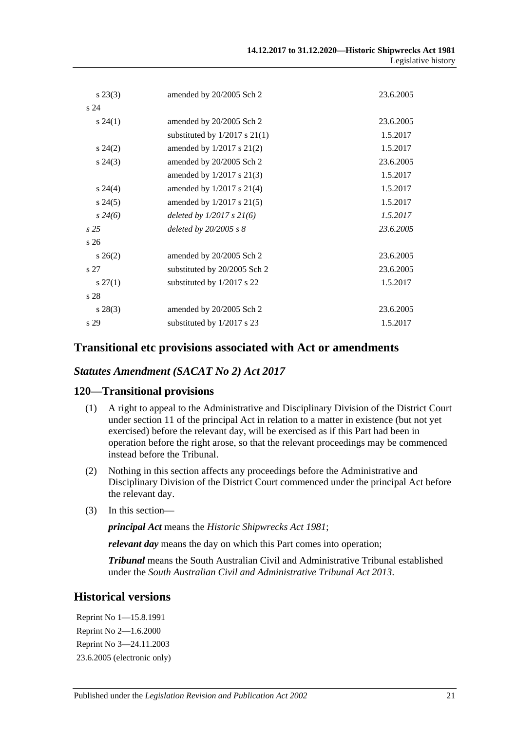| $s\,23(3)$      | amended by 20/2005 Sch 2          | 23.6.2005 |
|-----------------|-----------------------------------|-----------|
| s24             |                                   |           |
| $s\,24(1)$      | amended by 20/2005 Sch 2          | 23.6.2005 |
|                 | substituted by $1/2017$ s $21(1)$ | 1.5.2017  |
| $s\,24(2)$      | amended by $1/2017$ s $21(2)$     | 1.5.2017  |
| $s\,24(3)$      | amended by 20/2005 Sch 2          | 23.6.2005 |
|                 | amended by $1/2017$ s $21(3)$     | 1.5.2017  |
| $s\,24(4)$      | amended by $1/2017$ s $21(4)$     | 1.5.2017  |
| $s\,24(5)$      | amended by $1/2017$ s $21(5)$     | 1.5.2017  |
| $s\,24(6)$      | deleted by $1/2017 s 21(6)$       | 1.5.2017  |
| s25             | deleted by $20/2005 s 8$          | 23.6.2005 |
| s <sub>26</sub> |                                   |           |
| $s \, 26(2)$    | amended by 20/2005 Sch 2          | 23.6.2005 |
| s 27            | substituted by 20/2005 Sch 2      | 23.6.2005 |
| $s\,27(1)$      | substituted by 1/2017 s 22        | 1.5.2017  |
| s 28            |                                   |           |
| $s\,28(3)$      | amended by 20/2005 Sch 2          | 23.6.2005 |
| s 29            | substituted by 1/2017 s 23        | 1.5.2017  |

#### **Transitional etc provisions associated with Act or amendments**

#### *Statutes Amendment (SACAT No 2) Act 2017*

#### **120—Transitional provisions**

- (1) A right to appeal to the Administrative and Disciplinary Division of the District Court under section 11 of the principal Act in relation to a matter in existence (but not yet exercised) before the relevant day, will be exercised as if this Part had been in operation before the right arose, so that the relevant proceedings may be commenced instead before the Tribunal.
- (2) Nothing in this section affects any proceedings before the Administrative and Disciplinary Division of the District Court commenced under the principal Act before the relevant day.
- (3) In this section—

*principal Act* means the *[Historic Shipwrecks Act](http://www.legislation.sa.gov.au/index.aspx?action=legref&type=act&legtitle=Historic%20Shipwrecks%20Act%201981) 1981*;

*relevant day* means the day on which this Part comes into operation;

*Tribunal* means the South Australian Civil and Administrative Tribunal established under the *[South Australian Civil and Administrative Tribunal Act](http://www.legislation.sa.gov.au/index.aspx?action=legref&type=act&legtitle=South%20Australian%20Civil%20and%20Administrative%20Tribunal%20Act%202013) 2013*.

# **Historical versions**

Reprint No 1—15.8.1991 Reprint No 2—1.6.2000 Reprint No 3—24.11.2003 23.6.2005 (electronic only)